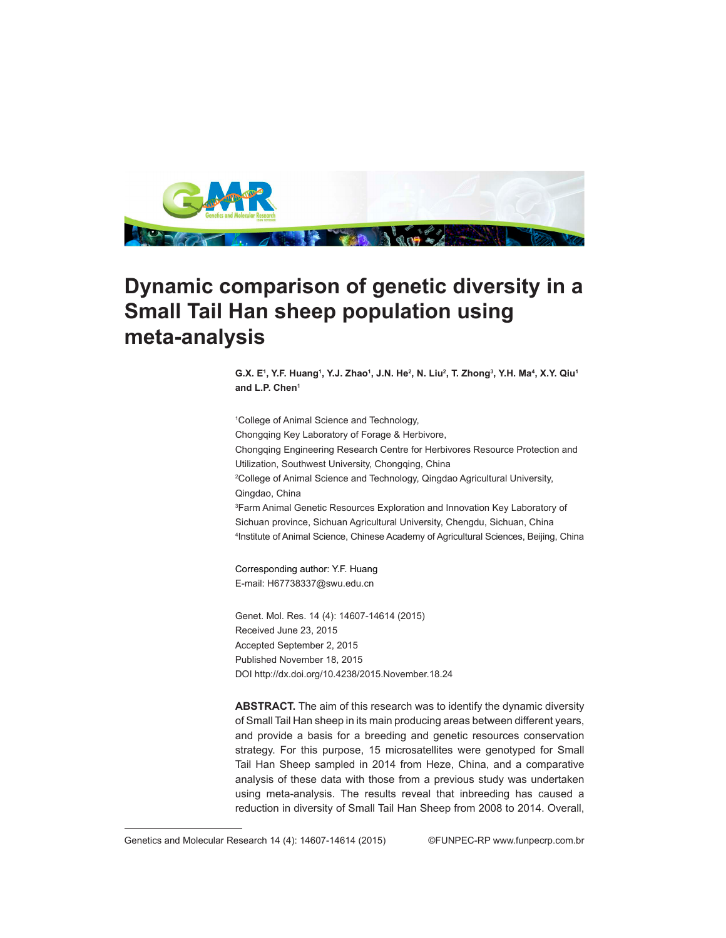

## **Dynamic comparison of genetic diversity in a Small Tail Han sheep population using meta-analysis**

**G.X. E1 , Y.F. Huang1 , Y.J. Zhao1 , J.N. He2 , N. Liu2 , T. Zhong3 , Y.H. Ma4 , X.Y. Qiu1 and L.P. Chen1**

1 College of Animal Science and Technology, Chongqing Key Laboratory of Forage & Herbivore, Chongqing Engineering Research Centre for Herbivores Resource Protection and Utilization, Southwest University, Chongqing, China 2 College of Animal Science and Technology, Qingdao Agricultural University, Qingdao, China 3 Farm Animal Genetic Resources Exploration and Innovation Key Laboratory of Sichuan province, Sichuan Agricultural University, Chengdu, Sichuan, China 4 Institute of Animal Science, Chinese Academy of Agricultural Sciences, Beijing, China

Corresponding author: Y.F. Huang E-mail: H67738337@swu.edu.cn

Genet. Mol. Res. 14 (4): 14607-14614 (2015) Received June 23, 2015 Accepted September 2, 2015 Published November 18, 2015 DOI http://dx.doi.org/10.4238/2015.November.18.24

**ABSTRACT.** The aim of this research was to identify the dynamic diversity of Small Tail Han sheep in its main producing areas between different years, and provide a basis for a breeding and genetic resources conservation strategy. For this purpose, 15 microsatellites were genotyped for Small Tail Han Sheep sampled in 2014 from Heze, China, and a comparative analysis of these data with those from a previous study was undertaken using meta-analysis. The results reveal that inbreeding has caused a reduction in diversity of Small Tail Han Sheep from 2008 to 2014. Overall,

Genetics and Molecular Research 14 (4): 14607-14614 (2015) ©FUNPEC-RP www.funpecrp.com.br